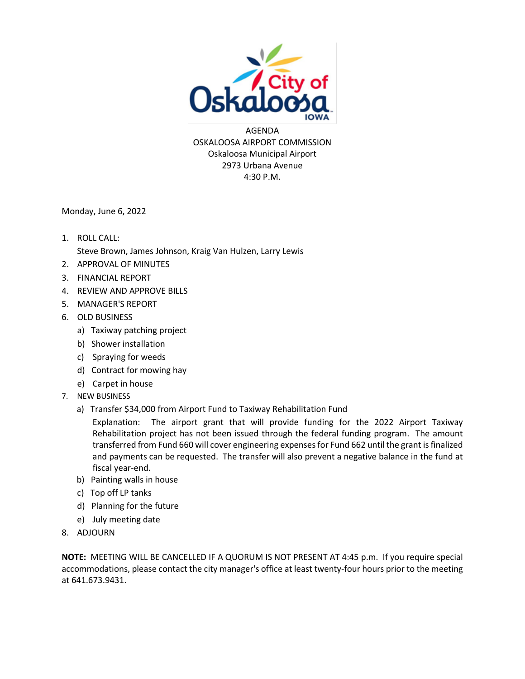

AGENDA OSKALOOSA AIRPORT COMMISSION Oskaloosa Municipal Airport 2973 Urbana Avenue 4:30 P.M.

Monday, June 6, 2022

- 1. ROLL CALL: Steve Brown, James Johnson, Kraig Van Hulzen, Larry Lewis
- 2. APPROVAL OF MINUTES
- 3. FINANCIAL REPORT
- 4. REVIEW AND APPROVE BILLS
- 5. MANAGER'S REPORT
- 6. OLD BUSINESS
	- a) Taxiway patching project
	- b) Shower installation
	- c) Spraying for weeds
	- d) Contract for mowing hay
	- e) Carpet in house
- 7. NEW BUSINESS
	- a) Transfer \$34,000 from Airport Fund to Taxiway Rehabilitation Fund

Explanation: The airport grant that will provide funding for the 2022 Airport Taxiway Rehabilitation project has not been issued through the federal funding program. The amount transferred from Fund 660 will cover engineering expenses for Fund 662 until the grant is finalized and payments can be requested. The transfer will also prevent a negative balance in the fund at fiscal year-end.

- b) Painting walls in house
- c) Top off LP tanks
- d) Planning for the future
- e) July meeting date
- 8. ADJOURN

**NOTE:** MEETING WILL BE CANCELLED IF A QUORUM IS NOT PRESENT AT 4:45 p.m. If you require special accommodations, please contact the city manager's office at least twenty-four hours prior to the meeting at 641.673.9431.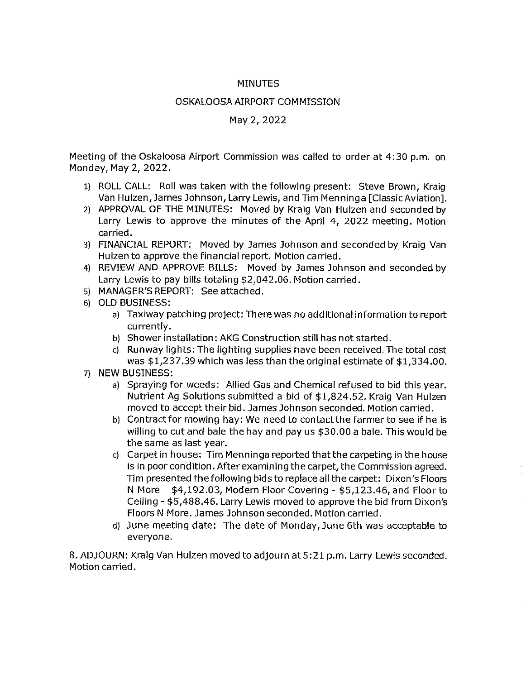### **MINUTES**

### **OSKALOOSA AIRPORT COMMISSION**

### May 2, 2022

Meeting of the Oskaloosa Airport Commission was called to order at 4:30 p.m. on Monday, May 2, 2022.

- 1) ROLL CALL: Roll was taken with the following present: Steve Brown, Kraig Van Hulzen, James Johnson, Larry Lewis, and Tim Menninga [Classic Aviation].
- 2) APPROVAL OF THE MINUTES: Moved by Kraig Van Hulzen and seconded by Larry Lewis to approve the minutes of the April 4, 2022 meeting. Motion carried.
- 3) FINANCIAL REPORT: Moved by James Johnson and seconded by Kraig Van Hulzen to approve the financial report. Motion carried.
- 4) REVIEW AND APPROVE BILLS: Moved by James Johnson and seconded by Larry Lewis to pay bills totaling \$2,042.06. Motion carried.
- 5) MANAGER'S REPORT: See attached.
- 6) OLD BUSINESS:
	- a) Taxiway patching project: There was no additional information to report currently.
	- b) Shower installation: AKG Construction still has not started.
	- c) Runway lights: The lighting supplies have been received. The total cost was \$1,237.39 which was less than the original estimate of \$1,334.00.
- 7) NEW BUSINESS:
	- a) Spraying for weeds: Allied Gas and Chemical refused to bid this year. Nutrient Ag Solutions submitted a bid of \$1,824.52. Kraig Van Hulzen moved to accept their bid. James Johnson seconded. Motion carried.
	- b) Contract for mowing hay: We need to contact the farmer to see if he is willing to cut and bale the hay and pay us \$30.00 a bale. This would be the same as last year.
	- c) Carpet in house: Tim Menninga reported that the carpeting in the house is in poor condition. After examining the carpet, the Commission agreed. Tim presented the following bids to replace all the carpet: Dixon's Floors N More - \$4,192.03, Modern Floor Covering - \$5,123.46, and Floor to Ceiling - \$5,488.46. Larry Lewis moved to approve the bid from Dixon's Floors N More. James Johnson seconded. Motion carried.
	- d) June meeting date: The date of Monday, June 6th was acceptable to everyone.

8. ADJOURN: Kraig Van Hulzen moved to adjourn at 5:21 p.m. Larry Lewis seconded. Motion carried.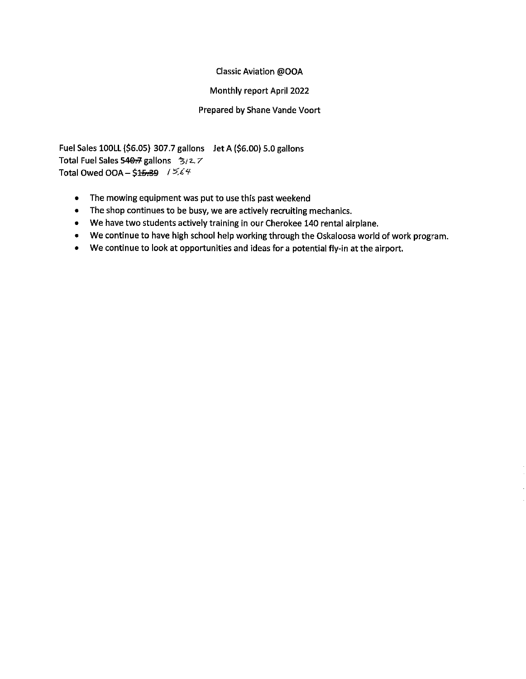### Classic Aviation @OOA

### Monthly report April 2022

### Prepared by Shane Vande Voort

Fuel Sales 100LL (\$6.05) 307.7 gallons Jet A (\$6.00) 5.0 gallons Total Fuel Sales 540-7 gallons 3/2.7 Total Owed OOA - \$15.39 /  $5.64$ 

- The mowing equipment was put to use this past weekend  $\bullet$
- The shop continues to be busy, we are actively recruiting mechanics.  $\bullet$
- We have two students actively training in our Cherokee 140 rental airplane.
- We continue to have high school help working through the Oskaloosa world of work program.
- We continue to look at opportunities and ideas for a potential fly-in at the airport.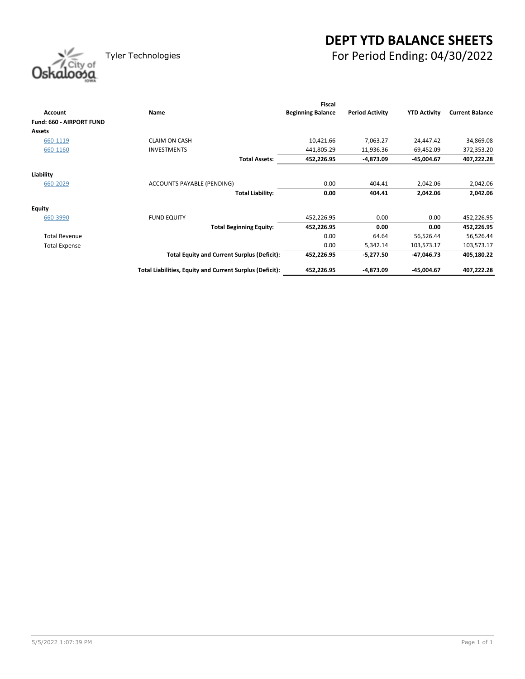# **DEPT YTD BALANCE SHEETS** Tyler Technologies For Period Ending: 04/30/2022

| Oskaloosa |
|-----------|
|           |

|                          |                                                          | <b>Fiscal</b>            |                        |                     |                        |
|--------------------------|----------------------------------------------------------|--------------------------|------------------------|---------------------|------------------------|
| Account                  | Name                                                     | <b>Beginning Balance</b> | <b>Period Activity</b> | <b>YTD Activity</b> | <b>Current Balance</b> |
| Fund: 660 - AIRPORT FUND |                                                          |                          |                        |                     |                        |
| <b>Assets</b>            |                                                          |                          |                        |                     |                        |
| 660-1119                 | <b>CLAIM ON CASH</b>                                     | 10,421.66                | 7,063.27               | 24,447.42           | 34,869.08              |
| 660-1160                 | <b>INVESTMENTS</b>                                       | 441,805.29               | $-11,936.36$           | $-69,452.09$        | 372,353.20             |
|                          | <b>Total Assets:</b>                                     | 452,226.95               | -4,873.09              | -45,004.67          | 407,222.28             |
| Liability                |                                                          |                          |                        |                     |                        |
|                          |                                                          | 0.00                     |                        |                     |                        |
| 660-2029                 | ACCOUNTS PAYABLE (PENDING)                               |                          | 404.41                 | 2,042.06            | 2,042.06               |
|                          | <b>Total Liability:</b>                                  | 0.00                     | 404.41                 | 2,042.06            | 2,042.06               |
| <b>Equity</b>            |                                                          |                          |                        |                     |                        |
| 660-3990                 | <b>FUND EQUITY</b>                                       | 452,226.95               | 0.00                   | 0.00                | 452,226.95             |
|                          | <b>Total Beginning Equity:</b>                           | 452,226.95               | 0.00                   | 0.00                | 452,226.95             |
| <b>Total Revenue</b>     |                                                          | 0.00                     | 64.64                  | 56,526.44           | 56,526.44              |
| <b>Total Expense</b>     |                                                          | 0.00                     | 5,342.14               | 103,573.17          | 103,573.17             |
|                          | <b>Total Equity and Current Surplus (Deficit):</b>       | 452,226.95               | -5,277.50              | $-47,046.73$        | 405,180.22             |
|                          | Total Liabilities, Equity and Current Surplus (Deficit): | 452,226.95               | $-4,873.09$            | -45,004.67          | 407,222.28             |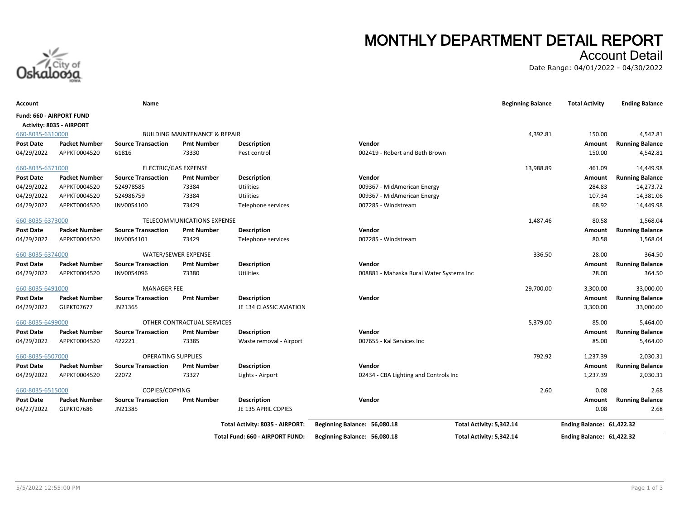

# **MONTHLY DEPARTMENT DETAIL REPORT**

### Account Detail

Date Range: 04/01/2022 - 04/30/2022

| Account                         |                          | Name                      |                                          |                                 |                                          | <b>Beginning Balance</b> | <b>Total Activity</b>     | <b>Ending Balance</b>  |
|---------------------------------|--------------------------|---------------------------|------------------------------------------|---------------------------------|------------------------------------------|--------------------------|---------------------------|------------------------|
| <b>Fund: 660 - AIRPORT FUND</b> | Activity: 8035 - AIRPORT |                           |                                          |                                 |                                          |                          |                           |                        |
| 660-8035-6310000                |                          |                           | <b>BUILDING MAINTENANCE &amp; REPAIR</b> |                                 |                                          | 4,392.81                 | 150.00                    | 4,542.81               |
| <b>Post Date</b>                | <b>Packet Number</b>     | <b>Source Transaction</b> | <b>Pmt Number</b>                        | <b>Description</b>              | Vendor                                   |                          | Amount                    | <b>Running Balance</b> |
| 04/29/2022                      | APPKT0004520             | 61816                     | 73330                                    | Pest control                    | 002419 - Robert and Beth Brown           |                          | 150.00                    | 4,542.81               |
| 660-8035-6371000                |                          |                           | ELECTRIC/GAS EXPENSE                     |                                 |                                          | 13,988.89                | 461.09                    | 14,449.98              |
| <b>Post Date</b>                | <b>Packet Number</b>     | <b>Source Transaction</b> | <b>Pmt Number</b>                        | <b>Description</b>              | Vendor                                   |                          | Amount                    | <b>Running Balance</b> |
| 04/29/2022                      | APPKT0004520             | 524978585                 | 73384                                    | Utilities                       | 009367 - MidAmerican Energy              |                          | 284.83                    | 14,273.72              |
| 04/29/2022                      | APPKT0004520             | 524986759                 | 73384                                    | Utilities                       | 009367 - MidAmerican Energy              |                          | 107.34                    | 14,381.06              |
| 04/29/2022                      | APPKT0004520             | INV0054100                | 73429                                    | Telephone services              | 007285 - Windstream                      |                          | 68.92                     | 14,449.98              |
| 660-8035-6373000                |                          |                           | TELECOMMUNICATIONS EXPENSE               |                                 |                                          | 1,487.46                 | 80.58                     | 1,568.04               |
| <b>Post Date</b>                | <b>Packet Number</b>     | <b>Source Transaction</b> | <b>Pmt Number</b>                        | <b>Description</b>              | Vendor                                   |                          | Amount                    | <b>Running Balance</b> |
| 04/29/2022                      | APPKT0004520             | INV0054101                | 73429                                    | Telephone services              | 007285 - Windstream                      |                          | 80.58                     | 1,568.04               |
| 660-8035-6374000                |                          |                           | WATER/SEWER EXPENSE                      |                                 |                                          | 336.50                   | 28.00                     | 364.50                 |
| <b>Post Date</b>                | <b>Packet Number</b>     | <b>Source Transaction</b> | <b>Pmt Number</b>                        | <b>Description</b>              | Vendor                                   |                          | Amount                    | <b>Running Balance</b> |
| 04/29/2022                      | APPKT0004520             | INV0054096                | 73380                                    | <b>Utilities</b>                | 008881 - Mahaska Rural Water Systems Inc |                          | 28.00                     | 364.50                 |
| 660-8035-6491000                |                          | <b>MANAGER FEE</b>        |                                          |                                 |                                          | 29,700.00                | 3,300.00                  | 33,000.00              |
| <b>Post Date</b>                | <b>Packet Number</b>     | <b>Source Transaction</b> | <b>Pmt Number</b>                        | <b>Description</b>              | Vendor                                   |                          | Amount                    | <b>Running Balance</b> |
| 04/29/2022                      | GLPKT07677               | JN21365                   |                                          | JE 134 CLASSIC AVIATION         |                                          |                          | 3,300.00                  | 33,000.00              |
| 660-8035-6499000                |                          |                           | OTHER CONTRACTUAL SERVICES               |                                 |                                          | 5,379.00                 | 85.00                     | 5,464.00               |
| <b>Post Date</b>                | <b>Packet Number</b>     | <b>Source Transaction</b> | <b>Pmt Number</b>                        | <b>Description</b>              | Vendor                                   |                          | Amount                    | <b>Running Balance</b> |
| 04/29/2022                      | APPKT0004520             | 422221                    | 73385                                    | Waste removal - Airport         | 007655 - Kal Services Inc                |                          | 85.00                     | 5,464.00               |
| 660-8035-6507000                |                          | <b>OPERATING SUPPLIES</b> |                                          |                                 |                                          | 792.92                   | 1,237.39                  | 2,030.31               |
| <b>Post Date</b>                | <b>Packet Number</b>     | <b>Source Transaction</b> | <b>Pmt Number</b>                        | <b>Description</b>              | Vendor                                   |                          | Amount                    | <b>Running Balance</b> |
| 04/29/2022                      | APPKT0004520             | 22072                     | 73327                                    | Lights - Airport                | 02434 - CBA Lighting and Controls Inc    |                          | 1,237.39                  | 2,030.31               |
| 660-8035-6515000                |                          | COPIES/COPYING            |                                          |                                 |                                          | 2.60                     | 0.08                      | 2.68                   |
| <b>Post Date</b>                | <b>Packet Number</b>     | <b>Source Transaction</b> | <b>Pmt Number</b>                        | <b>Description</b>              | Vendor                                   |                          | Amount                    | <b>Running Balance</b> |
| 04/27/2022                      | GLPKT07686               | JN21385                   |                                          | JE 135 APRIL COPIES             |                                          |                          | 0.08                      | 2.68                   |
|                                 |                          |                           |                                          | Total Activity: 8035 - AIRPORT: | Beginning Balance: 56,080.18             | Total Activity: 5,342.14 | Ending Balance: 61,422.32 |                        |
|                                 |                          |                           |                                          | Total Fund: 660 - AIRPORT FUND: | Beginning Balance: 56,080.18             | Total Activity: 5,342.14 | Ending Balance: 61,422.32 |                        |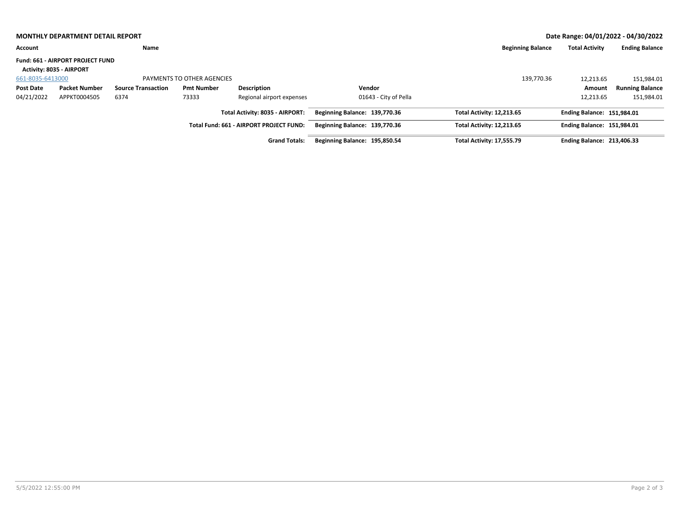|                  | <b>MONTHLY DEPARTMENT DETAIL REPORT</b>                                    |                           |                            |                                         |                               |                                  |                                   | Date Range: 04/01/2022 - 04/30/2022 |
|------------------|----------------------------------------------------------------------------|---------------------------|----------------------------|-----------------------------------------|-------------------------------|----------------------------------|-----------------------------------|-------------------------------------|
| Account          |                                                                            | Name                      |                            |                                         |                               | <b>Beginning Balance</b>         | <b>Total Activity</b>             | <b>Ending Balance</b>               |
|                  | <b>Fund: 661 - AIRPORT PROJECT FUND</b><br><b>Activity: 8035 - AIRPORT</b> |                           |                            |                                         |                               |                                  |                                   |                                     |
| 661-8035-6413000 |                                                                            |                           | PAYMENTS TO OTHER AGENCIES |                                         |                               | 139,770.36                       | 12,213.65                         | 151,984.01                          |
| Post Date        | <b>Packet Number</b>                                                       | <b>Source Transaction</b> | <b>Pmt Number</b>          | <b>Description</b>                      | Vendor                        |                                  | Amount                            | <b>Running Balance</b>              |
| 04/21/2022       | APPKT0004505                                                               | 6374                      | 73333                      | Regional airport expenses               | 01643 - City of Pella         |                                  | 12,213.65                         | 151,984.01                          |
|                  |                                                                            |                           |                            | Total Activity: 8035 - AIRPORT:         | Beginning Balance: 139,770.36 | Total Activity: 12,213.65        | <b>Ending Balance: 151.984.01</b> |                                     |
|                  |                                                                            |                           |                            | Total Fund: 661 - AIRPORT PROJECT FUND: | Beginning Balance: 139,770.36 | Total Activity: 12,213.65        | <b>Ending Balance: 151,984.01</b> |                                     |
|                  |                                                                            |                           |                            | <b>Grand Totals:</b>                    | Beginning Balance: 195,850.54 | <b>Total Activity: 17,555.79</b> | <b>Ending Balance: 213,406.33</b> |                                     |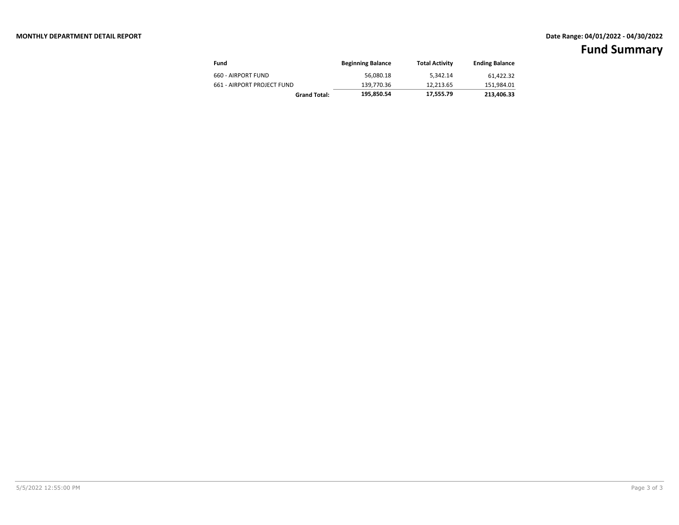| Fund                       | <b>Beginning Balance</b> | <b>Total Activity</b> | <b>Ending Balance</b> |
|----------------------------|--------------------------|-----------------------|-----------------------|
| 660 - AIRPORT FUND         | 56.080.18                | 5.342.14              | 61.422.32             |
| 661 - AIRPORT PROJECT FUND | 139.770.36               | 12.213.65             | 151,984.01            |
| <b>Grand Total:</b>        | 195.850.54               | 17,555.79             | 213.406.33            |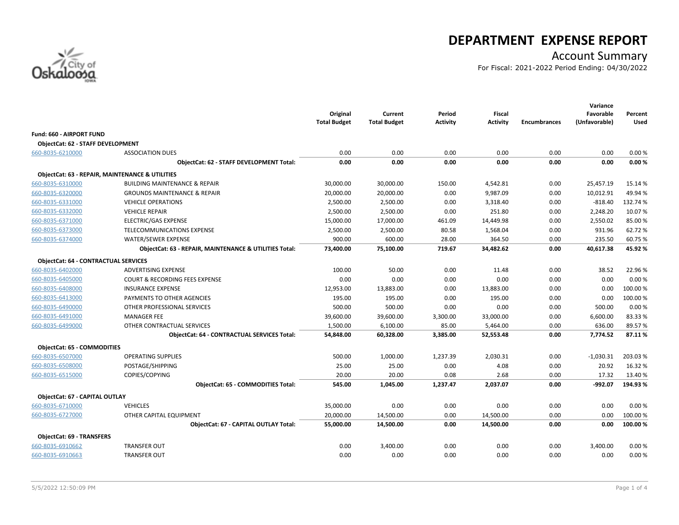

# **DEPARTMENT EXPENSE REPORT**

# Account Summary

For Fiscal: 2021-2022 Period Ending: 04/30/2022

|                                             |                                                            | Original<br><b>Total Budget</b> | Current<br><b>Total Budget</b> | Period<br><b>Activity</b> | <b>Fiscal</b><br><b>Activity</b> | <b>Encumbrances</b> | Variance<br>Favorable<br>(Unfavorable) | Percent<br>Used |
|---------------------------------------------|------------------------------------------------------------|---------------------------------|--------------------------------|---------------------------|----------------------------------|---------------------|----------------------------------------|-----------------|
| Fund: 660 - AIRPORT FUND                    |                                                            |                                 |                                |                           |                                  |                     |                                        |                 |
| <b>ObjectCat: 62 - STAFF DEVELOPMENT</b>    |                                                            |                                 |                                |                           |                                  |                     |                                        |                 |
| 660-8035-6210000                            | <b>ASSOCIATION DUES</b>                                    | 0.00                            | 0.00                           | 0.00                      | 0.00                             | 0.00                | 0.00                                   | 0.00%           |
|                                             | <b>ObjectCat: 62 - STAFF DEVELOPMENT Total:</b>            | 0.00                            | 0.00                           | 0.00                      | 0.00                             | 0.00                | 0.00                                   | 0.00%           |
|                                             | <b>ObjectCat: 63 - REPAIR, MAINTENANCE &amp; UTILITIES</b> |                                 |                                |                           |                                  |                     |                                        |                 |
| 660-8035-6310000                            | <b>BUILDING MAINTENANCE &amp; REPAIR</b>                   | 30,000.00                       | 30,000.00                      | 150.00                    | 4,542.81                         | 0.00                | 25,457.19                              | 15.14 %         |
| 660-8035-6320000                            | <b>GROUNDS MAINTENANCE &amp; REPAIR</b>                    | 20,000.00                       | 20,000.00                      | 0.00                      | 9,987.09                         | 0.00                | 10,012.91                              | 49.94%          |
| 660-8035-6331000                            | <b>VEHICLE OPERATIONS</b>                                  | 2,500.00                        | 2,500.00                       | 0.00                      | 3,318.40                         | 0.00                | $-818.40$                              | 132.74 %        |
| 660-8035-6332000                            | <b>VEHICLE REPAIR</b>                                      | 2,500.00                        | 2,500.00                       | 0.00                      | 251.80                           | 0.00                | 2,248.20                               | 10.07%          |
| 660-8035-6371000                            | ELECTRIC/GAS EXPENSE                                       | 15,000.00                       | 17,000.00                      | 461.09                    | 14,449.98                        | 0.00                | 2,550.02                               | 85.00%          |
| 660-8035-6373000                            | TELECOMMUNICATIONS EXPENSE                                 | 2,500.00                        | 2,500.00                       | 80.58                     | 1,568.04                         | 0.00                | 931.96                                 | 62.72%          |
| 660-8035-6374000                            | WATER/SEWER EXPENSE                                        | 900.00                          | 600.00                         | 28.00                     | 364.50                           | 0.00                | 235.50                                 | 60.75%          |
|                                             | ObjectCat: 63 - REPAIR, MAINTENANCE & UTILITIES Total:     | 73,400.00                       | 75,100.00                      | 719.67                    | 34,482.62                        | 0.00                | 40,617.38                              | 45.92%          |
| <b>ObjectCat: 64 - CONTRACTUAL SERVICES</b> |                                                            |                                 |                                |                           |                                  |                     |                                        |                 |
| 660-8035-6402000                            | ADVERTISING EXPENSE                                        | 100.00                          | 50.00                          | 0.00                      | 11.48                            | 0.00                | 38.52                                  | 22.96%          |
| 660-8035-6405000                            | <b>COURT &amp; RECORDING FEES EXPENSE</b>                  | 0.00                            | 0.00                           | 0.00                      | 0.00                             | 0.00                | 0.00                                   | 0.00%           |
| 660-8035-6408000                            | <b>INSURANCE EXPENSE</b>                                   | 12,953.00                       | 13,883.00                      | 0.00                      | 13,883.00                        | 0.00                | 0.00                                   | 100.00%         |
| 660-8035-6413000                            | PAYMENTS TO OTHER AGENCIES                                 | 195.00                          | 195.00                         | 0.00                      | 195.00                           | 0.00                | 0.00                                   | 100.00 %        |
| 660-8035-6490000                            | OTHER PROFESSIONAL SERVICES                                | 500.00                          | 500.00                         | 0.00                      | 0.00                             | 0.00                | 500.00                                 | 0.00%           |
| 660-8035-6491000                            | <b>MANAGER FEE</b>                                         | 39,600.00                       | 39,600.00                      | 3,300.00                  | 33,000.00                        | 0.00                | 6,600.00                               | 83.33%          |
| 660-8035-6499000                            | OTHER CONTRACTUAL SERVICES                                 | 1,500.00                        | 6,100.00                       | 85.00                     | 5,464.00                         | 0.00                | 636.00                                 | 89.57%          |
|                                             | <b>ObjectCat: 64 - CONTRACTUAL SERVICES Total:</b>         | 54,848.00                       | 60,328.00                      | 3,385.00                  | 52,553.48                        | 0.00                | 7,774.52                               | 87.11%          |
| <b>ObjectCat: 65 - COMMODITIES</b>          |                                                            |                                 |                                |                           |                                  |                     |                                        |                 |
| 660-8035-6507000                            | <b>OPERATING SUPPLIES</b>                                  | 500.00                          | 1,000.00                       | 1,237.39                  | 2,030.31                         | 0.00                | $-1,030.31$                            | 203.03%         |
| 660-8035-6508000                            | POSTAGE/SHIPPING                                           | 25.00                           | 25.00                          | 0.00                      | 4.08                             | 0.00                | 20.92                                  | 16.32 %         |
| 660-8035-6515000                            | COPIES/COPYING                                             | 20.00                           | 20.00                          | 0.08                      | 2.68                             | 0.00                | 17.32                                  | 13.40 %         |
|                                             | <b>ObjectCat: 65 - COMMODITIES Total:</b>                  | 545.00                          | 1.045.00                       | 1,237.47                  | 2,037.07                         | 0.00                | $-992.07$                              | 194.93%         |
| ObjectCat: 67 - CAPITAL OUTLAY              |                                                            |                                 |                                |                           |                                  |                     |                                        |                 |
| 660-8035-6710000                            | <b>VEHICLES</b>                                            | 35,000.00                       | 0.00                           | 0.00                      | 0.00                             | 0.00                | 0.00                                   | 0.00%           |
| 660-8035-6727000                            | OTHER CAPITAL EQUIPMENT                                    | 20,000.00                       | 14,500.00                      | 0.00                      | 14,500.00                        | 0.00                | 0.00                                   | 100.00 %        |
|                                             | <b>ObjectCat: 67 - CAPITAL OUTLAY Total:</b>               | 55,000.00                       | 14,500.00                      | 0.00                      | 14,500.00                        | 0.00                | 0.00                                   | 100.00%         |
| <b>ObjectCat: 69 - TRANSFERS</b>            |                                                            |                                 |                                |                           |                                  |                     |                                        |                 |
| 660-8035-6910662                            | <b>TRANSFER OUT</b>                                        | 0.00                            | 3,400.00                       | 0.00                      | 0.00                             | 0.00                | 3,400.00                               | 0.00%           |
| 660-8035-6910663                            | <b>TRANSFER OUT</b>                                        | 0.00                            | 0.00                           | 0.00                      | 0.00                             | 0.00                | 0.00                                   | 0.00%           |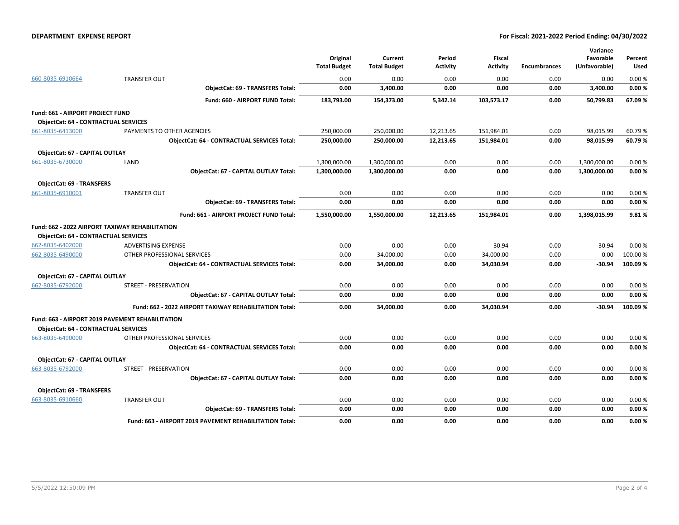#### **DEPARTMENT EXPENSE REPORT For Fiscal: 2021-2022 Period Ending: 04/30/2022**

|                                             |                                                         | Original<br><b>Total Budget</b> | Current<br><b>Total Budget</b> | Period<br><b>Activity</b> | <b>Fiscal</b><br>Activity | <b>Encumbrances</b> | Variance<br>Favorable<br>(Unfavorable) | Percent<br>Used |
|---------------------------------------------|---------------------------------------------------------|---------------------------------|--------------------------------|---------------------------|---------------------------|---------------------|----------------------------------------|-----------------|
| 660-8035-6910664                            | <b>TRANSFER OUT</b>                                     | 0.00                            | 0.00                           | 0.00                      | 0.00                      | 0.00                | 0.00                                   | 0.00%           |
|                                             | <b>ObjectCat: 69 - TRANSFERS Total:</b>                 | 0.00                            | 3,400.00                       | 0.00                      | 0.00                      | 0.00                | 3,400.00                               | 0.00%           |
|                                             | Fund: 660 - AIRPORT FUND Total:                         | 183,793.00                      | 154,373.00                     | 5,342.14                  | 103,573.17                | 0.00                | 50,799.83                              | 67.09%          |
| Fund: 661 - AIRPORT PROJECT FUND            |                                                         |                                 |                                |                           |                           |                     |                                        |                 |
| <b>ObjectCat: 64 - CONTRACTUAL SERVICES</b> |                                                         |                                 |                                |                           |                           |                     |                                        |                 |
| 661-8035-6413000                            | PAYMENTS TO OTHER AGENCIES                              | 250,000.00                      | 250,000.00                     | 12,213.65                 | 151,984.01                | 0.00                | 98,015.99                              | 60.79%          |
|                                             | <b>ObjectCat: 64 - CONTRACTUAL SERVICES Total:</b>      | 250,000.00                      | 250,000.00                     | 12,213.65                 | 151,984.01                | 0.00                | 98,015.99                              | 60.79%          |
| ObjectCat: 67 - CAPITAL OUTLAY              |                                                         |                                 |                                |                           |                           |                     |                                        |                 |
| 661-8035-6730000                            | LAND                                                    | 1,300,000.00                    | 1,300,000.00                   | 0.00                      | 0.00                      | 0.00                | 1,300,000.00                           | 0.00%           |
|                                             | ObjectCat: 67 - CAPITAL OUTLAY Total:                   | 1,300,000.00                    | 1,300,000.00                   | 0.00                      | 0.00                      | 0.00                | 1,300,000.00                           | 0.00%           |
| <b>ObjectCat: 69 - TRANSFERS</b>            |                                                         |                                 |                                |                           |                           |                     |                                        |                 |
| 661-8035-6910001                            | <b>TRANSFER OUT</b>                                     | 0.00                            | 0.00                           | 0.00                      | 0.00                      | 0.00                | 0.00                                   | 0.00%           |
|                                             | <b>ObjectCat: 69 - TRANSFERS Total:</b>                 | 0.00                            | 0.00                           | 0.00                      | 0.00                      | 0.00                | 0.00                                   | 0.00%           |
|                                             | Fund: 661 - AIRPORT PROJECT FUND Total:                 | 1,550,000.00                    | 1,550,000.00                   | 12,213.65                 | 151,984.01                | 0.00                | 1,398,015.99                           | 9.81%           |
|                                             | <b>Fund: 662 - 2022 AIRPORT TAXIWAY REHABILITATION</b>  |                                 |                                |                           |                           |                     |                                        |                 |
| <b>ObjectCat: 64 - CONTRACTUAL SERVICES</b> |                                                         |                                 |                                |                           |                           |                     |                                        |                 |
| 662-8035-6402000                            | <b>ADVERTISING EXPENSE</b>                              | 0.00                            | 0.00                           | 0.00                      | 30.94                     | 0.00                | $-30.94$                               | 0.00%           |
| 662-8035-6490000                            | OTHER PROFESSIONAL SERVICES                             | 0.00                            | 34,000.00                      | 0.00                      | 34,000.00                 | 0.00                | 0.00                                   | 100.00 %        |
|                                             | <b>ObjectCat: 64 - CONTRACTUAL SERVICES Total:</b>      | 0.00                            | 34,000.00                      | 0.00                      | 34,030.94                 | 0.00                | $-30.94$                               | 100.09%         |
| ObjectCat: 67 - CAPITAL OUTLAY              |                                                         |                                 |                                |                           |                           |                     |                                        |                 |
| 662-8035-6792000                            | STREET - PRESERVATION                                   | 0.00                            | 0.00                           | 0.00                      | 0.00                      | 0.00                | 0.00                                   | 0.00%           |
|                                             | ObjectCat: 67 - CAPITAL OUTLAY Total:                   | 0.00                            | 0.00                           | 0.00                      | 0.00                      | 0.00                | 0.00                                   | 0.00%           |
|                                             | Fund: 662 - 2022 AIRPORT TAXIWAY REHABILITATION Total:  | 0.00                            | 34,000.00                      | 0.00                      | 34,030.94                 | 0.00                | -30.94                                 | 100.09%         |
|                                             | Fund: 663 - AIRPORT 2019 PAVEMENT REHABILITATION        |                                 |                                |                           |                           |                     |                                        |                 |
| <b>ObjectCat: 64 - CONTRACTUAL SERVICES</b> |                                                         |                                 |                                |                           |                           |                     |                                        |                 |
| 663-8035-6490000                            | OTHER PROFESSIONAL SERVICES                             | 0.00                            | 0.00                           | 0.00                      | 0.00                      | 0.00                | 0.00                                   | 0.00%           |
|                                             | <b>ObjectCat: 64 - CONTRACTUAL SERVICES Total:</b>      | 0.00                            | 0.00                           | 0.00                      | 0.00                      | 0.00                | 0.00                                   | 0.00%           |
| ObjectCat: 67 - CAPITAL OUTLAY              |                                                         |                                 |                                |                           |                           |                     |                                        |                 |
| 663-8035-6792000                            | <b>STREET - PRESERVATION</b>                            | 0.00                            | 0.00                           | 0.00                      | 0.00                      | 0.00                | 0.00                                   | 0.00%           |
|                                             | <b>ObjectCat: 67 - CAPITAL OUTLAY Total:</b>            | 0.00                            | 0.00                           | 0.00                      | 0.00                      | 0.00                | 0.00                                   | 0.00%           |
| <b>ObjectCat: 69 - TRANSFERS</b>            |                                                         |                                 |                                |                           |                           |                     |                                        |                 |
| 663-8035-6910660                            | <b>TRANSFER OUT</b>                                     | 0.00                            | 0.00                           | 0.00                      | 0.00                      | 0.00                | 0.00                                   | 0.00%           |
|                                             | <b>ObjectCat: 69 - TRANSFERS Total:</b>                 | 0.00                            | 0.00                           | 0.00                      | 0.00                      | 0.00                | 0.00                                   | 0.00%           |
|                                             | Fund: 663 - AIRPORT 2019 PAVEMENT REHABILITATION Total: | 0.00                            | 0.00                           | 0.00                      | 0.00                      | 0.00                | 0.00                                   | 0.00%           |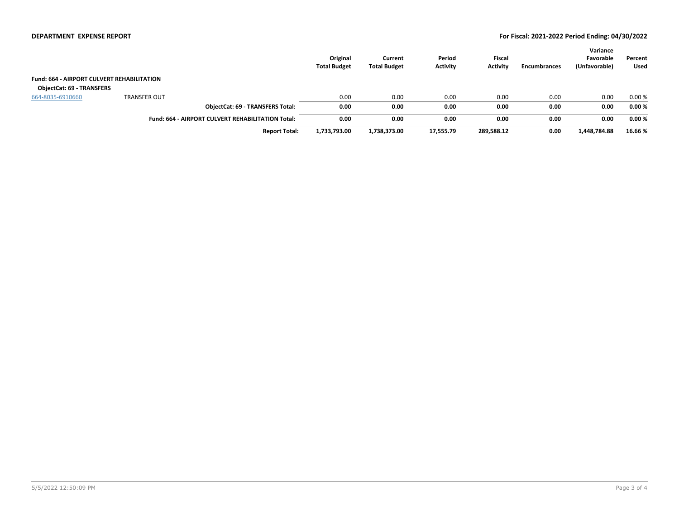#### **DEPARTMENT EXPENSE REPORT For Fiscal: 2021-2022 Period Ending: 04/30/2022**

|                                                   |                     |                                                          | Original<br><b>Total Budget</b> | Current<br><b>Total Budget</b> | Period<br><b>Activity</b> | <b>Fiscal</b><br><b>Activity</b> | Encumbrances | Variance<br>Favorable<br>(Unfavorable) | Percent<br>Used |
|---------------------------------------------------|---------------------|----------------------------------------------------------|---------------------------------|--------------------------------|---------------------------|----------------------------------|--------------|----------------------------------------|-----------------|
| <b>Fund: 664 - AIRPORT CULVERT REHABILITATION</b> |                     |                                                          |                                 |                                |                           |                                  |              |                                        |                 |
| <b>ObjectCat: 69 - TRANSFERS</b>                  |                     |                                                          |                                 |                                |                           |                                  |              |                                        |                 |
| 664-8035-6910660                                  | <b>TRANSFER OUT</b> |                                                          | 0.00                            | 0.00                           | 0.00                      | 0.00                             | 0.00         | 0.00                                   | 0.00%           |
|                                                   |                     | <b>ObjectCat: 69 - TRANSFERS Total:</b>                  | 0.00                            | 0.00                           | 0.00                      | 0.00                             | 0.00         | 0.00                                   | 0.00%           |
|                                                   |                     | <b>Fund: 664 - AIRPORT CULVERT REHABILITATION Total:</b> | 0.00                            | 0.00                           | 0.00                      | 0.00                             | 0.00         | 0.00                                   | 0.00%           |
|                                                   |                     | <b>Report Total:</b>                                     | 1,733,793.00                    | 1,738,373.00                   | 17,555.79                 | 289,588.12                       | 0.00         | 1,448,784.88                           | 16.66%          |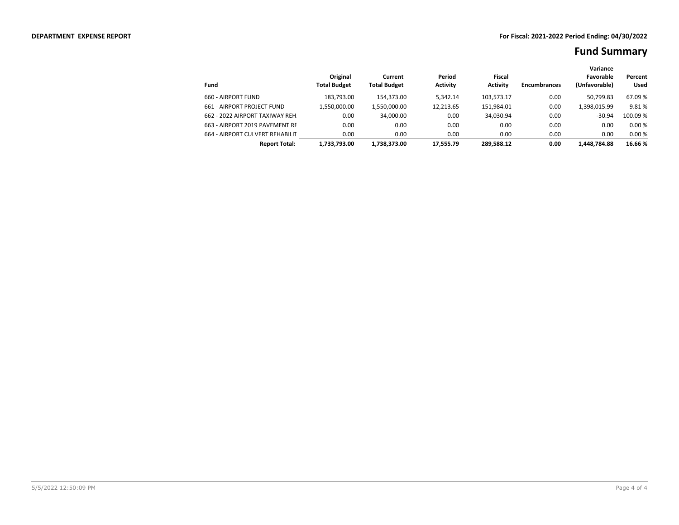|                                 |                                 |                                |                           |                           |                     | Variance                   |                        |
|---------------------------------|---------------------------------|--------------------------------|---------------------------|---------------------------|---------------------|----------------------------|------------------------|
| Fund                            | Original<br><b>Total Budget</b> | Current<br><b>Total Budget</b> | Period<br><b>Activity</b> | Fiscal<br><b>Activity</b> | <b>Encumbrances</b> | Favorable<br>(Unfavorable) | Percent<br><b>Used</b> |
| 660 - AIRPORT FUND              | 183.793.00                      | 154.373.00                     | 5.342.14                  | 103.573.17                | 0.00                | 50.799.83                  | 67.09 %                |
| 661 - AIRPORT PROJECT FUND      | 1.550.000.00                    | 1,550,000.00                   | 12.213.65                 | 151,984.01                | 0.00                | 1,398,015.99               | 9.81%                  |
| 662 - 2022 AIRPORT TAXIWAY REH. | 0.00                            | 34.000.00                      | 0.00                      | 34.030.94                 | 0.00                | $-30.94$                   | 100.09 %               |
| 663 - AIRPORT 2019 PAVEMENT RE  | 0.00                            | 0.00                           | 0.00                      | 0.00                      | 0.00                | 0.00                       | 0.00%                  |
| 664 - AIRPORT CULVERT REHABILIT | 0.00                            | 0.00                           | 0.00                      | 0.00                      | 0.00                | 0.00                       | 0.00%                  |
| <b>Report Total:</b>            | 1.733.793.00                    | 1.738.373.00                   | 17.555.79                 | 289.588.12                | 0.00                | 1.448.784.88               | 16.66%                 |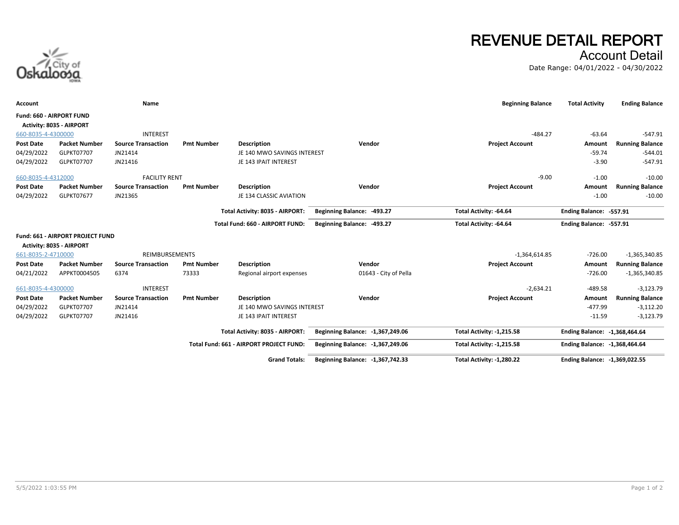

# **REVENUE DETAIL REPORT** Account Detail

Date Range: 04/01/2022 - 04/30/2022

| Account                  |                                                              | Name                      |                   |                                         |                                  | <b>Beginning Balance</b>  | <b>Total Activity</b>          | <b>Ending Balance</b>  |
|--------------------------|--------------------------------------------------------------|---------------------------|-------------------|-----------------------------------------|----------------------------------|---------------------------|--------------------------------|------------------------|
| Fund: 660 - AIRPORT FUND |                                                              |                           |                   |                                         |                                  |                           |                                |                        |
|                          | Activity: 8035 - AIRPORT                                     |                           |                   |                                         |                                  |                           |                                |                        |
| 660-8035-4-4300000       |                                                              | <b>INTEREST</b>           |                   |                                         |                                  | $-484.27$                 | $-63.64$                       | $-547.91$              |
| <b>Post Date</b>         | <b>Packet Number</b>                                         | <b>Source Transaction</b> | <b>Pmt Number</b> | <b>Description</b>                      | Vendor                           | <b>Project Account</b>    | Amount                         | <b>Running Balance</b> |
| 04/29/2022               | GLPKT07707                                                   | JN21414                   |                   | JE 140 MWO SAVINGS INTEREST             |                                  |                           | $-59.74$                       | $-544.01$              |
| 04/29/2022               | <b>GLPKT07707</b>                                            | JN21416                   |                   | JE 143 IPAIT INTEREST                   |                                  |                           | $-3.90$                        | $-547.91$              |
| 660-8035-4-4312000       |                                                              | <b>FACILITY RENT</b>      |                   |                                         |                                  | $-9.00$                   | $-1.00$                        | $-10.00$               |
| <b>Post Date</b>         | <b>Packet Number</b>                                         | <b>Source Transaction</b> | <b>Pmt Number</b> | <b>Description</b>                      | Vendor                           | <b>Project Account</b>    | Amount                         | <b>Running Balance</b> |
| 04/29/2022               | GLPKT07677                                                   | JN21365                   |                   | JE 134 CLASSIC AVIATION                 |                                  |                           | $-1.00$                        | $-10.00$               |
|                          |                                                              |                           |                   | Total Activity: 8035 - AIRPORT:         | Beginning Balance: -493.27       | Total Activity: -64.64    | Ending Balance: -557.91        |                        |
|                          |                                                              |                           |                   | Total Fund: 660 - AIRPORT FUND:         | Beginning Balance: -493.27       | Total Activity: -64.64    | Ending Balance: -557.91        |                        |
|                          | Fund: 661 - AIRPORT PROJECT FUND<br>Activity: 8035 - AIRPORT |                           |                   |                                         |                                  |                           |                                |                        |
| 661-8035-2-4710000       |                                                              | REIMBURSEMENTS            |                   |                                         |                                  | $-1,364,614.85$           | $-726.00$                      | $-1,365,340.85$        |
| <b>Post Date</b>         | <b>Packet Number</b>                                         | <b>Source Transaction</b> | <b>Pmt Number</b> | <b>Description</b>                      | Vendor                           | <b>Project Account</b>    | Amount                         | <b>Running Balance</b> |
| 04/21/2022               | APPKT0004505                                                 | 6374                      | 73333             | Regional airport expenses               | 01643 - City of Pella            |                           | $-726.00$                      | $-1,365,340.85$        |
| 661-8035-4-4300000       |                                                              | <b>INTEREST</b>           |                   |                                         |                                  | $-2,634.21$               | $-489.58$                      | $-3,123.79$            |
| <b>Post Date</b>         | <b>Packet Number</b>                                         | <b>Source Transaction</b> | <b>Pmt Number</b> | <b>Description</b>                      | Vendor                           | <b>Project Account</b>    | Amount                         | <b>Running Balance</b> |
| 04/29/2022               | GLPKT07707                                                   | JN21414                   |                   | JE 140 MWO SAVINGS INTEREST             |                                  |                           | $-477.99$                      | $-3,112.20$            |
| 04/29/2022               | GLPKT07707                                                   | JN21416                   |                   | JE 143 IPAIT INTEREST                   |                                  |                           | $-11.59$                       | $-3,123.79$            |
|                          |                                                              |                           |                   | Total Activity: 8035 - AIRPORT:         | Beginning Balance: -1,367,249.06 | Total Activity: -1,215.58 | Ending Balance: -1,368,464.64  |                        |
|                          |                                                              |                           |                   | Total Fund: 661 - AIRPORT PROJECT FUND: | Beginning Balance: -1,367,249.06 | Total Activity: -1,215.58 | Ending Balance: - 1,368,464.64 |                        |
|                          |                                                              |                           |                   | <b>Grand Totals:</b>                    | Beginning Balance: -1,367,742.33 | Total Activity: -1,280.22 | Ending Balance: -1,369,022.55  |                        |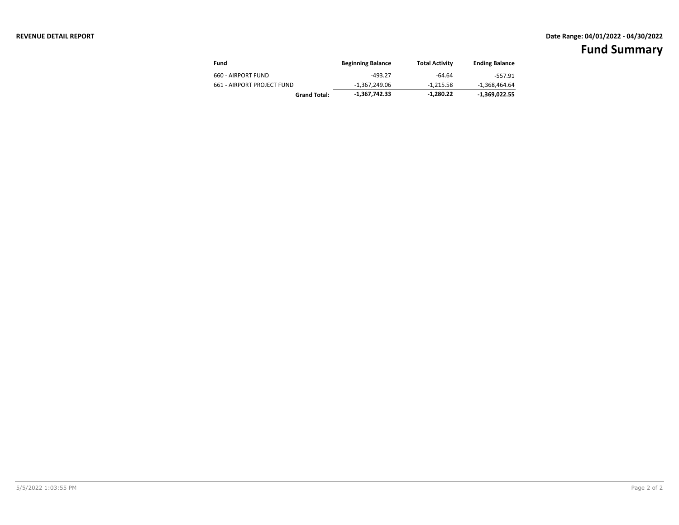### **REVENUE DETAIL REPORT Date Range: 04/01/2022 - 04/30/2022**

| Fund                       | <b>Beginning Balance</b> | Total Activity | <b>Ending Balance</b> |
|----------------------------|--------------------------|----------------|-----------------------|
| 660 - AIRPORT FUND         | $-493.27$                | $-64.64$       | $-557.91$             |
| 661 - AIRPORT PROJECT FUND | -1.367.249.06            | -1.215.58      | -1,368,464.64         |
| <b>Grand Total:</b>        | -1,367,742.33            | $-1,280.22$    | $-1.369.022.55$       |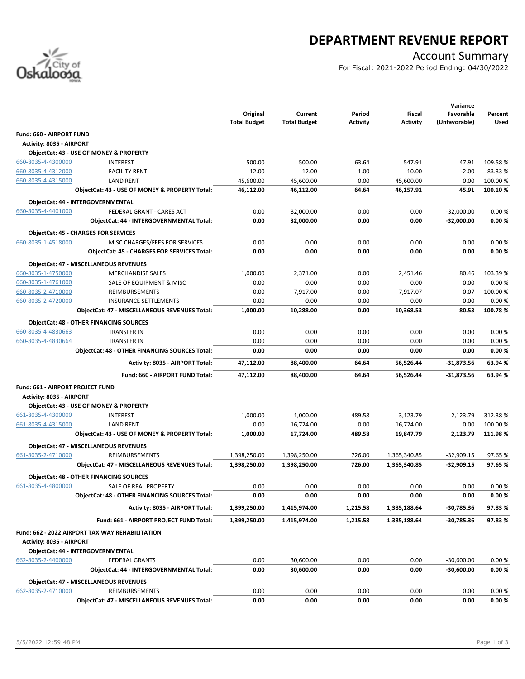

# **DEPARTMENT REVENUE REPORT**

### Account Summary

For Fiscal: 2021-2022 Period Ending: 04/30/2022

|                                          |                                                 |                     |                     |                |                       | Variance         |                    |
|------------------------------------------|-------------------------------------------------|---------------------|---------------------|----------------|-----------------------|------------------|--------------------|
|                                          |                                                 | Original            | Current             | Period         | Fiscal                | Favorable        | Percent            |
|                                          |                                                 | <b>Total Budget</b> | <b>Total Budget</b> | Activity       | <b>Activity</b>       | (Unfavorable)    | Used               |
| Fund: 660 - AIRPORT FUND                 |                                                 |                     |                     |                |                       |                  |                    |
| <b>Activity: 8035 - AIRPORT</b>          |                                                 |                     |                     |                |                       |                  |                    |
|                                          | ObjectCat: 43 - USE OF MONEY & PROPERTY         |                     |                     |                |                       |                  |                    |
| 660-8035-4-4300000                       | <b>INTEREST</b>                                 | 500.00              | 500.00              | 63.64          | 547.91                | 47.91            | 109.58%            |
| 660-8035-4-4312000                       | <b>FACILITY RENT</b>                            | 12.00               | 12.00               | 1.00           | 10.00                 | $-2.00$          | 83.33%             |
| 660-8035-4-4315000                       | <b>LAND RENT</b>                                | 45,600.00           | 45,600.00           | 0.00           | 45,600.00             | 0.00             | 100.00%            |
|                                          | ObjectCat: 43 - USE OF MONEY & PROPERTY Total:  | 46,112.00           | 46,112.00           | 64.64          | 46,157.91             | 45.91            | 100.10%            |
|                                          | ObjectCat: 44 - INTERGOVERNMENTAL               |                     |                     |                |                       |                  |                    |
| 660-8035-4-4401000                       | FEDERAL GRANT - CARES ACT                       | 0.00                | 32,000.00           | 0.00           | 0.00                  | $-32,000.00$     | 0.00%              |
|                                          | ObjectCat: 44 - INTERGOVERNMENTAL Total:        | 0.00                | 32,000.00           | 0.00           | 0.00                  | -32,000.00       | 0.00%              |
|                                          | <b>ObjectCat: 45 - CHARGES FOR SERVICES</b>     |                     |                     |                |                       |                  |                    |
| 660-8035-1-4518000                       | MISC CHARGES/FEES FOR SERVICES                  | 0.00                | 0.00                | 0.00           | 0.00                  | 0.00             | 0.00%              |
|                                          | ObjectCat: 45 - CHARGES FOR SERVICES Total:     | 0.00                | 0.00                | 0.00           | 0.00                  | 0.00             | 0.00%              |
|                                          |                                                 |                     |                     |                |                       |                  |                    |
|                                          | <b>ObjectCat: 47 - MISCELLANEOUS REVENUES</b>   |                     |                     |                |                       |                  |                    |
| 660-8035-1-4750000                       | <b>MERCHANDISE SALES</b>                        | 1,000.00            | 2,371.00            | 0.00           | 2,451.46              | 80.46            | 103.39%            |
| 660-8035-1-4761000                       | SALE OF EQUIPMENT & MISC                        | 0.00                | 0.00                | 0.00           | 0.00                  | 0.00             | 0.00%              |
| 660-8035-2-4710000                       | <b>REIMBURSEMENTS</b>                           | 0.00                | 7,917.00            | 0.00           | 7,917.07              | 0.07             | 100.00%            |
| 660-8035-2-4720000                       | <b>INSURANCE SETTLEMENTS</b>                    | 0.00                | 0.00                | 0.00           | 0.00                  | 0.00             | 0.00%              |
|                                          | ObjectCat: 47 - MISCELLANEOUS REVENUES Total:   | 1,000.00            | 10,288.00           | 0.00           | 10,368.53             | 80.53            | 100.78%            |
|                                          | <b>ObjectCat: 48 - OTHER FINANCING SOURCES</b>  |                     |                     |                |                       |                  |                    |
| 660-8035-4-4830663                       | TRANSFER IN                                     | 0.00                | 0.00                | 0.00           | 0.00                  | 0.00             | 0.00%              |
| 660-8035-4-4830664                       | <b>TRANSFER IN</b>                              | 0.00                | 0.00                | 0.00           | 0.00                  | 0.00             | 0.00%              |
|                                          | ObjectCat: 48 - OTHER FINANCING SOURCES Total:  | 0.00                | 0.00                | 0.00           | 0.00                  | 0.00             | 0.00%              |
|                                          | Activity: 8035 - AIRPORT Total:                 | 47,112.00           | 88,400.00           | 64.64          | 56,526.44             | $-31,873.56$     | 63.94%             |
|                                          | Fund: 660 - AIRPORT FUND Total:                 | 47,112.00           | 88,400.00           | 64.64          | 56,526.44             | -31,873.56       | 63.94%             |
|                                          |                                                 |                     |                     |                |                       |                  |                    |
| Fund: 661 - AIRPORT PROJECT FUND         |                                                 |                     |                     |                |                       |                  |                    |
| <b>Activity: 8035 - AIRPORT</b>          |                                                 |                     |                     |                |                       |                  |                    |
|                                          | ObjectCat: 43 - USE OF MONEY & PROPERTY         |                     |                     |                |                       |                  |                    |
| 661-8035-4-4300000<br>661-8035-4-4315000 | <b>INTEREST</b>                                 | 1,000.00<br>0.00    | 1,000.00            | 489.58<br>0.00 | 3,123.79<br>16,724.00 | 2,123.79<br>0.00 | 312.38%<br>100.00% |
|                                          | <b>LAND RENT</b>                                | 1,000.00            | 16,724.00           | 489.58         |                       | 2,123.79         | 111.98%            |
|                                          | ObjectCat: 43 - USE OF MONEY & PROPERTY Total:  |                     | 17,724.00           |                | 19,847.79             |                  |                    |
|                                          | <b>ObjectCat: 47 - MISCELLANEOUS REVENUES</b>   |                     |                     |                |                       |                  |                    |
| 661-8035-2-4710000                       | REIMBURSEMENTS                                  | 1,398,250.00        | 1,398,250.00        | 726.00         | 1,365,340.85          | $-32,909.15$     | 97.65%             |
|                                          | ObjectCat: 47 - MISCELLANEOUS REVENUES Total:   | 1,398,250.00        | 1,398,250.00        | 726.00         | 1,365,340.85          | -32,909.15       | 97.65%             |
|                                          | <b>ObjectCat: 48 - OTHER FINANCING SOURCES</b>  |                     |                     |                |                       |                  |                    |
| 661-8035-4-4800000                       | SALE OF REAL PROPERTY                           | 0.00                | 0.00                | 0.00           | 0.00                  | 0.00             | 0.00%              |
|                                          | ObjectCat: 48 - OTHER FINANCING SOURCES Total:  | 0.00                | 0.00                | 0.00           | 0.00                  | 0.00             | 0.00%              |
|                                          | Activity: 8035 - AIRPORT Total:                 | 1,399,250.00        | 1,415,974.00        | 1,215.58       | 1,385,188.64          | -30,785.36       | 97.83%             |
|                                          | Fund: 661 - AIRPORT PROJECT FUND Total:         | 1,399,250.00        | 1,415,974.00        | 1,215.58       | 1,385,188.64          | -30,785.36       | 97.83%             |
|                                          | Fund: 662 - 2022 AIRPORT TAXIWAY REHABILITATION |                     |                     |                |                       |                  |                    |
| Activity: 8035 - AIRPORT                 |                                                 |                     |                     |                |                       |                  |                    |
|                                          | ObjectCat: 44 - INTERGOVERNMENTAL               |                     |                     |                |                       |                  |                    |
| 662-8035-2-4400000                       | <b>FEDERAL GRANTS</b>                           | 0.00                | 30,600.00           | 0.00           | 0.00                  | $-30,600.00$     | 0.00%              |
|                                          | ObjectCat: 44 - INTERGOVERNMENTAL Total:        | 0.00                | 30,600.00           | 0.00           | 0.00                  | $-30,600.00$     | 0.00%              |
|                                          |                                                 |                     |                     |                |                       |                  |                    |
|                                          | <b>ObjectCat: 47 - MISCELLANEOUS REVENUES</b>   |                     |                     |                |                       |                  |                    |
| 662-8035-2-4710000                       | REIMBURSEMENTS                                  | 0.00<br>0.00        | 0.00<br>0.00        | 0.00           | 0.00<br>0.00          | 0.00<br>0.00     | 0.00%<br>0.00%     |
|                                          | ObjectCat: 47 - MISCELLANEOUS REVENUES Total:   |                     |                     | 0.00           |                       |                  |                    |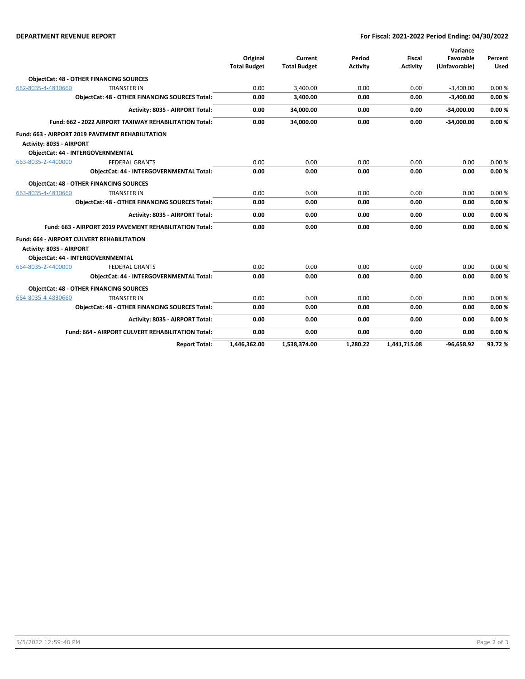#### **DEPARTMENT REVENUE REPORT For Fiscal: 2021-2022 Period Ending: 04/30/2022**

|                                                        |                                                         |                     |                     |                 |                 | Variance      |             |
|--------------------------------------------------------|---------------------------------------------------------|---------------------|---------------------|-----------------|-----------------|---------------|-------------|
|                                                        |                                                         | Original            | Current             | Period          | <b>Fiscal</b>   | Favorable     | Percent     |
|                                                        |                                                         | <b>Total Budget</b> | <b>Total Budget</b> | <b>Activity</b> | <b>Activity</b> | (Unfavorable) | <b>Used</b> |
|                                                        | <b>ObjectCat: 48 - OTHER FINANCING SOURCES</b>          |                     |                     |                 |                 |               |             |
| 662-8035-4-4830660                                     | <b>TRANSFER IN</b>                                      | 0.00                | 3,400.00            | 0.00            | 0.00            | $-3,400.00$   | 0.00%       |
| <b>ObjectCat: 48 - OTHER FINANCING SOURCES Total:</b>  |                                                         | 0.00                | 3,400.00            | 0.00            | 0.00            | $-3,400.00$   | 0.00%       |
|                                                        | Activity: 8035 - AIRPORT Total:                         | 0.00                | 34,000.00           | 0.00            | 0.00            | $-34,000.00$  | 0.00%       |
| Fund: 662 - 2022 AIRPORT TAXIWAY REHABILITATION Total: |                                                         | 0.00                | 34.000.00           | 0.00            | 0.00            | $-34,000.00$  | 0.00%       |
|                                                        | Fund: 663 - AIRPORT 2019 PAVEMENT REHABILITATION        |                     |                     |                 |                 |               |             |
| Activity: 8035 - AIRPORT                               |                                                         |                     |                     |                 |                 |               |             |
|                                                        | <b>ObjectCat: 44 - INTERGOVERNMENTAL</b>                |                     |                     |                 |                 |               |             |
| 663-8035-2-4400000                                     | <b>FEDERAL GRANTS</b>                                   | 0.00                | 0.00                | 0.00            | 0.00            | 0.00          | 0.00%       |
|                                                        | ObjectCat: 44 - INTERGOVERNMENTAL Total:                | 0.00                | 0.00                | 0.00            | 0.00            | 0.00          | 0.00%       |
|                                                        | <b>ObjectCat: 48 - OTHER FINANCING SOURCES</b>          |                     |                     |                 |                 |               |             |
| 663-8035-4-4830660                                     | <b>TRANSFER IN</b>                                      | 0.00                | 0.00                | 0.00            | 0.00            | 0.00          | 0.00%       |
|                                                        | <b>ObjectCat: 48 - OTHER FINANCING SOURCES Total:</b>   | 0.00                | 0.00                | 0.00            | 0.00            | 0.00          | 0.00%       |
|                                                        | Activity: 8035 - AIRPORT Total:                         | 0.00                | 0.00                | 0.00            | 0.00            | 0.00          | 0.00%       |
|                                                        | Fund: 663 - AIRPORT 2019 PAVEMENT REHABILITATION Total: | 0.00                | 0.00                | 0.00            | 0.00            | 0.00          | 0.00%       |
|                                                        | <b>Fund: 664 - AIRPORT CULVERT REHABILITATION</b>       |                     |                     |                 |                 |               |             |
| Activity: 8035 - AIRPORT                               |                                                         |                     |                     |                 |                 |               |             |
|                                                        | <b>ObjectCat: 44 - INTERGOVERNMENTAL</b>                |                     |                     |                 |                 |               |             |
| 664-8035-2-4400000                                     | <b>FEDERAL GRANTS</b>                                   | 0.00                | 0.00                | 0.00            | 0.00            | 0.00          | 0.00%       |
|                                                        | <b>ObjectCat: 44 - INTERGOVERNMENTAL Total:</b>         | 0.00                | 0.00                | 0.00            | 0.00            | 0.00          | 0.00%       |
|                                                        | <b>ObjectCat: 48 - OTHER FINANCING SOURCES</b>          |                     |                     |                 |                 |               |             |
| 664-8035-4-4830660                                     | <b>TRANSFER IN</b>                                      | 0.00                | 0.00                | 0.00            | 0.00            | 0.00          | 0.00%       |
|                                                        | <b>ObjectCat: 48 - OTHER FINANCING SOURCES Total:</b>   | 0.00                | 0.00                | 0.00            | 0.00            | 0.00          | 0.00%       |
|                                                        | Activity: 8035 - AIRPORT Total:                         | 0.00                | 0.00                | 0.00            | 0.00            | 0.00          | 0.00%       |
|                                                        | Fund: 664 - AIRPORT CULVERT REHABILITATION Total:       | 0.00                | 0.00                | 0.00            | 0.00            | 0.00          | 0.00%       |
|                                                        | <b>Report Total:</b>                                    | 1.446.362.00        | 1.538.374.00        | 1.280.22        | 1.441.715.08    | $-96.658.92$  | 93.72%      |